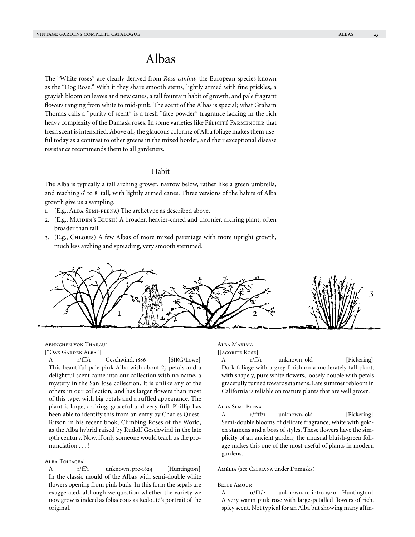# Albas

The "White roses" are clearly derived from *Rosa canina,* the European species known as the "Dog Rose." With it they share smooth stems, lightly armed with fine prickles, a grayish bloom on leaves and new canes, a tall fountain habit of growth, and pale fragrant flowers ranging from white to mid-pink. The scent of the Albas is special; what Graham Thomas calls a "purity of scent" is a fresh "face powder" fragrance lacking in the rich heavy complexity of the Damask roses. In some varieties like FéLICITÉ PARMENTIER that fresh scent is intensified. Above all, the glaucous coloring of Alba foliage makes them useful today as a contrast to other greens in the mixed border, and their exceptional disease resistance recommends them to all gardeners.

# Habit

The Alba is typically a tall arching grower, narrow below, rather like a green umbrella, and reaching 6' to 8' tall, with lightly armed canes. Three versions of the habits of Alba growth give us a sampling.

- 1. (E.g., Alba Semi-plena) The archetype as described above.
- 2. (E.g., MAIDEN's BLUSH) A broader, heavier-caned and thornier, arching plant, often broader than tall.
- 3. (E.g., Chloris) A few Albas of more mixed parentage with more upright growth, much less arching and spreading, very smooth stemmed.



Aennchen von Tharau\*

["Oak Garden Alba"]

A r/fff/1 Geschwind, 1886 [SJRG/Lowe] This beautiful pale pink Alba with about 25 petals and a delightful scent came into our collection with no name, a mystery in the San Jose collection. It is unlike any of the others in our collection, and has larger flowers than most of this type, with big petals and a ruffled appearance. The plant is large, arching, graceful and very full. Phillip has been able to identify this from an entry by Charles Quest-Ritson in his recent book, Climbing Roses of the World, as the Alba hybrid raised by Rudolf Geschwind in the late 19th century. Now, if only someone would teach us the pronunciation . . . !

#### Alba 'Foliacea'

A r/ff/1 unknown, pre-1824 [Huntington] In the classic mould of the Albas with semi-double white flowers opening from pink buds. In this form the sepals are exaggerated, although we question whether the variety we now grow is indeed as foliaceous as Redouté's portrait of the original.

# Alba Maxima

[Jacobite Rose]

A r/ff/1 unknown, old [Pickering] Dark foliage with a grey finish on a moderately tall plant, with shapely, pure white flowers, loosely double with petals gracefully turned towards stamens. Late summer rebloom in California is reliable on mature plants that are well grown.

#### Alba Semi-Plena

A r/ffff/1 unknown, old [Pickering] Semi-double blooms of delicate fragrance, white with golden stamens and a boss of styles. These flowers have the simplicity of an ancient garden; the unusual bluish-green foliage makes this one of the most useful of plants in modern gardens.

Amélia (see Celsiana under Damasks)

#### Belle Amour

A 0/fff/2 unknown, re-intro 1940 [Huntington] A very warm pink rose with large-petalled flowers of rich, spicy scent. Not typical for an Alba but showing many affin